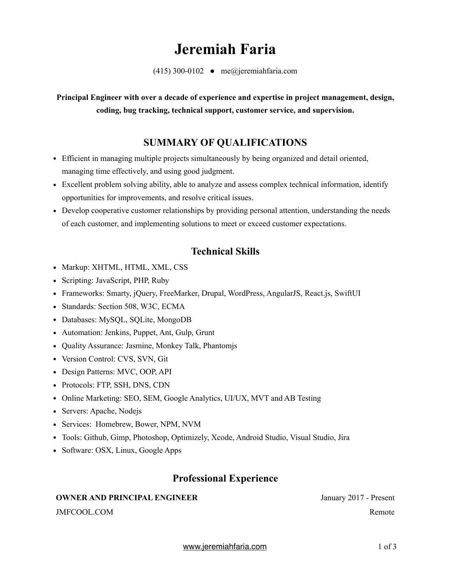# **Jeremiah Faria**

 $(415)$  300-0102 • me@jeremiahfaria.com

**Principal Engineer with over a decade of experience and expertise in project management, design, coding, bug tracking, technical support, customer service, and supervision.**

# **SUMMARY OF QUALIFICATIONS**

- Efficient in managing multiple projects simultaneously by being organized and detail oriented, managing time effectively, and using good judgment.
- Excellent problem solving ability, able to analyze and assess complex technical information, identify opportunities for improvements, and resolve critical issues.
- Develop cooperative customer relationships by providing personal attention, understanding the needs of each customer, and implementing solutions to meet or exceed customer expectations.

## **Technical Skills**

- Markup: XHTML, HTML, XML, CSS
- Scripting: JavaScript, PHP, Ruby
- Frameworks: Smarty, jOuery, FreeMarker, Drupal, WordPress, AngularJS, React.js, SwiftUI
- Standards: Section 508, W3C, ECMA
- Databases: MySQL, SQLite, MongoDB
- Automation: Jenkins, Puppet, Ant, Gulp, Grunt
- Quality Assurance: Jasmine, Monkey Talk, Phantomjs
- Version Control: CVS, SVN, Git
- Design Patterns: MVC, OOP, API
- Protocols: FTP, SSH, DNS, CDN
- Online Marketing: SEO, SEM, Google Analytics, UI/UX, MVT and AB Testing
- Servers: Apache, Nodejs
- Services: Homebrew, Bower, NPM, NVM
- Tools: Github, Gimp, Photoshop, Optimizely, Xcode, Android Studio, Visual Studio, Jira
- Software: OSX, Linux, Google Apps

### **Professional Experience**

### **OWNER AND PRINCIPAL ENGINEER** January 2017 - Present

JMFCOOL.COM Remote

[www.jeremiahfaria.com](http://www.jeremiahfaria.com) 1 of 3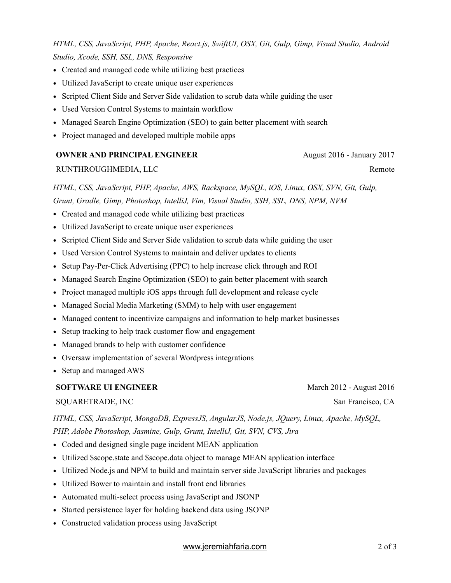*HTML, CSS, JavaScript, PHP, Apache, React.js, SwiftUI, OSX, Git, Gulp, Gimp, Visual Studio, Android Studio, Xcode, SSH, SSL, DNS, Responsive*

- Created and managed code while utilizing best practices
- Utilized JavaScript to create unique user experiences
- Scripted Client Side and Server Side validation to scrub data while guiding the user
- Used Version Control Systems to maintain workflow
- Managed Search Engine Optimization (SEO) to gain better placement with search
- Project managed and developed multiple mobile apps

#### **OWNER AND PRINCIPAL ENGINEER** August 2016 - January 2017

#### RUNTHROUGHMEDIA, LLC Remote

*HTML, CSS, JavaScript, PHP, Apache, AWS, Rackspace, MySQL, iOS, Linux, OSX, SVN, Git, Gulp, Grunt, Gradle, Gimp, Photoshop, IntelliJ, Vim, Visual Studio, SSH, SSL, DNS, NPM, NVM*

- Created and managed code while utilizing best practices
- Utilized JavaScript to create unique user experiences
- Scripted Client Side and Server Side validation to scrub data while guiding the user
- Used Version Control Systems to maintain and deliver updates to clients
- Setup Pay-Per-Click Advertising (PPC) to help increase click through and ROI
- Managed Search Engine Optimization (SEO) to gain better placement with search
- Project managed multiple iOS apps through full development and release cycle
- Managed Social Media Marketing (SMM) to help with user engagement
- Managed content to incentivize campaigns and information to help market businesses
- Setup tracking to help track customer flow and engagement
- Managed brands to help with customer confidence
- Oversaw implementation of several Wordpress integrations
- Setup and managed AWS

#### **SOFTWARE UI ENGINEER** March 2012 - August 2016

#### SQUARETRADE, INC SAN FRANCISCO, CA

*HTML, CSS, JavaScript, MongoDB, ExpressJS, AngularJS, Node.js, JQuery, Linux, Apache, MySQL, PHP, Adobe Photoshop, Jasmine, Gulp, Grunt, IntelliJ, Git, SVN, CVS, Jira*

- Coded and designed single page incident MEAN application
- Utilized \$scope.state and \$scope.data object to manage MEAN application interface
- Utilized Node.js and NPM to build and maintain server side JavaScript libraries and packages
- Utilized Bower to maintain and install front end libraries
- Automated multi-select process using JavaScript and JSONP
- Started persistence layer for holding backend data using JSONP
- Constructed validation process using JavaScript

### [www.jeremiahfaria.com](http://www.jeremiahfaria.com) 2 of 3